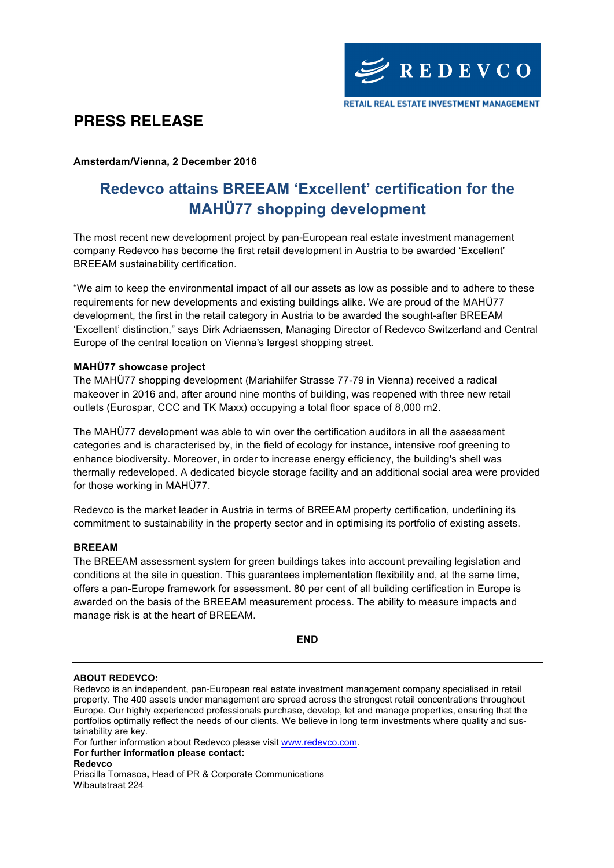## **PRESS RELEASE**

**Amsterdam/Vienna, 2 December 2016**

# **Redevco attains BREEAM 'Excellent' certification for the MAHÜ77 shopping development**

The most recent new development project by pan-European real estate investment management company Redevco has become the first retail development in Austria to be awarded 'Excellent' BREEAM sustainability certification.

"We aim to keep the environmental impact of all our assets as low as possible and to adhere to these requirements for new developments and existing buildings alike. We are proud of the MAHÜ77 development, the first in the retail category in Austria to be awarded the sought-after BREEAM 'Excellent' distinction," says Dirk Adriaenssen, Managing Director of Redevco Switzerland and Central Europe of the central location on Vienna's largest shopping street.

### **MAHÜ77 showcase project**

The MAHÜ77 shopping development (Mariahilfer Strasse 77-79 in Vienna) received a radical makeover in 2016 and, after around nine months of building, was reopened with three new retail outlets (Eurospar, CCC and TK Maxx) occupying a total floor space of 8,000 m2.

The MAHÜ77 development was able to win over the certification auditors in all the assessment categories and is characterised by, in the field of ecology for instance, intensive roof greening to enhance biodiversity. Moreover, in order to increase energy efficiency, the building's shell was thermally redeveloped. A dedicated bicycle storage facility and an additional social area were provided for those working in MAHÜ77.

Redevco is the market leader in Austria in terms of BREEAM property certification, underlining its commitment to sustainability in the property sector and in optimising its portfolio of existing assets.

#### **BREEAM**

The BREEAM assessment system for green buildings takes into account prevailing legislation and conditions at the site in question. This guarantees implementation flexibility and, at the same time, offers a pan-Europe framework for assessment. 80 per cent of all building certification in Europe is awarded on the basis of the BREEAM measurement process. The ability to measure impacts and manage risk is at the heart of BREEAM.

#### **END**

#### **ABOUT REDEVCO:**

Redevco is an independent, pan-European real estate investment management company specialised in retail property. The 400 assets under management are spread across the strongest retail concentrations throughout Europe. Our highly experienced professionals purchase, develop, let and manage properties, ensuring that the portfolios optimally reflect the needs of our clients. We believe in long term investments where quality and sustainability are key.

For further information about Redevco please visit www.redevco.com.

**For further information please contact: Redevco**

Priscilla Tomasoa**,** Head of PR & Corporate Communications Wibautstraat 224